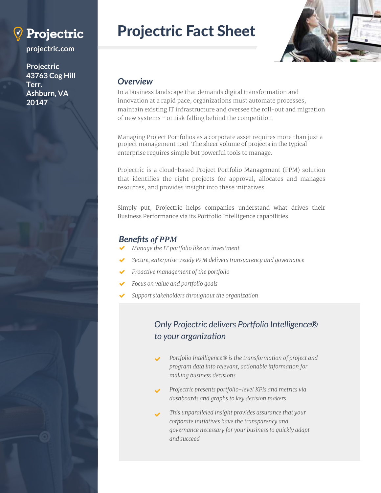

**projectric.com**

**Projectric 43763 Cog Hill Terr. Ashburn, VA 20147**

# Projectric Fact Sheet



### *Overview*

In a business landscape that demands digital transformation and innovation at a rapid pace, organizations must automate processes, maintain existing IT infrastructure and oversee the roll-out and migration of new systems - or risk falling behind the competition.

Managing Project Portfolios as a corporate asset requires more than just a project management tool. The sheer volume of projects in the typical enterprise requires simple but powerful tools to manage.

Projectric is a cloud-based Project Portfolio Management (PPM) solution that identifies the right projects for approval, allocates and manages resources, and provides insight into these initiatives.

Simply put, Projectric helps companies understand what drives their Business Performance via its Portfolio Intelligence capabilities

## *Benefits of PPM*

- *Manage the IT portfolio like an investment* ✔
- *Secure, enterprise-ready PPM delivers transparency and governance* ✔
- *Proactive management of the portfolio*  $\checkmark$
- *Focus on value and portfolio goals*  $\checkmark$
- *Support stakeholders throughout the organization*  $\checkmark$

# *Only Projectric delivers Portfolio Intelligence® to your organization*

- *Portfolio Intelligence® is the transformation of project and program data into relevant, actionable information for making business decisions* ✔
- *Projectric presents portfolio-level KPIs and metrics via dashboards and graphs to key decision makers* ✔
- *This unparalleled insight provides assurance that your corporate initiatives have the transparency and governance necessary for your business to quickly adapt and succeed*   $\checkmark$